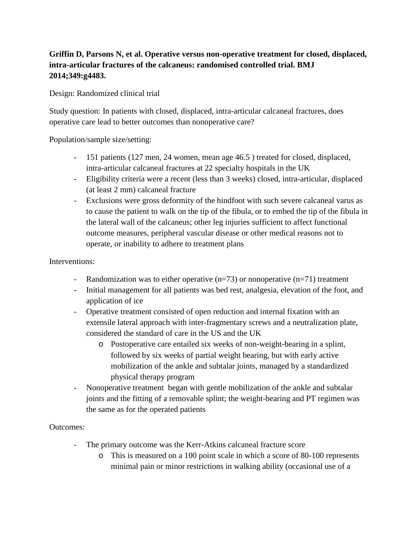## **Griffin D, Parsons N, et al. Operative versus non-operative treatment for closed, displaced, intra-articular fractures of the calcaneus: randomised controlled trial. BMJ 2014;349:g4483.**

Design: Randomized clinical trial

Study question: In patients with closed, displaced, intra-articular calcaneal fractures, does operative care lead to better outcomes than nonoperative care?

Population/sample size/setting:

- 151 patients (127 men, 24 women, mean age 46.5 ) treated for closed, displaced, intra-articular calcaneal fractures at 22 specialty hospitals in the UK
- Eligibility criteria were a recent (less than 3 weeks) closed, intra-articular, displaced (at least 2 mm) calcaneal fracture
- Exclusions were gross deformity of the hindfoot with such severe calcaneal varus as to cause the patient to walk on the tip of the fibula, or to embed the tip of the fibula in the lateral wall of the calcaneus; other leg injuries sufficient to affect functional outcome measures, peripheral vascular disease or other medical reasons not to operate, or inability to adhere to treatment plans

## Interventions:

- Randomization was to either operative  $(n=73)$  or nonoperative  $(n=71)$  treatment
- Initial management for all patients was bed rest, analgesia, elevation of the foot, and application of ice
- Operative treatment consisted of open reduction and internal fixation with an extensile lateral approach with inter-fragmentary screws and a neutralization plate, considered the standard of care in the US and the UK
	- o Postoperative care entailed six weeks of non-weight-bearing in a splint, followed by six weeks of partial weight bearing, but with early active mobilization of the ankle and subtalar joints, managed by a standardized physical therapy program
- Nonoperative treatment began with gentle mobilization of the ankle and subtalar joints and the fitting of a removable splint; the weight-bearing and PT regimen was the same as for the operated patients

## Outcomes:

- The primary outcome was the Kerr-Atkins calcaneal fracture score
	- o This is measured on a 100 point scale in which a score of 80-100 represents minimal pain or minor restrictions in walking ability (occasional use of a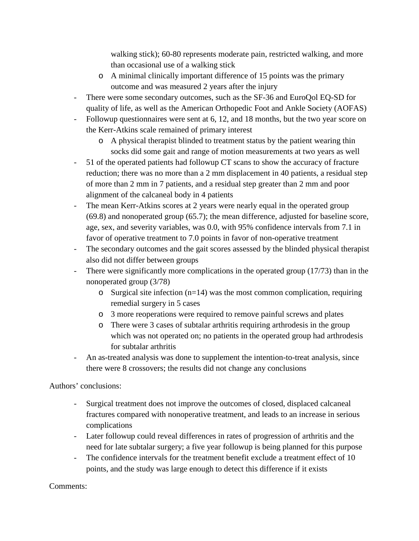walking stick); 60-80 represents moderate pain, restricted walking, and more than occasional use of a walking stick

- o A minimal clinically important difference of 15 points was the primary outcome and was measured 2 years after the injury
- There were some secondary outcomes, such as the SF-36 and EuroQol EQ-SD for quality of life, as well as the American Orthopedic Foot and Ankle Society (AOFAS)
- Followup questionnaires were sent at 6, 12, and 18 months, but the two year score on the Kerr-Atkins scale remained of primary interest
	- o A physical therapist blinded to treatment status by the patient wearing thin socks did some gait and range of motion measurements at two years as well
- 51 of the operated patients had followup CT scans to show the accuracy of fracture reduction; there was no more than a 2 mm displacement in 40 patients, a residual step of more than 2 mm in 7 patients, and a residual step greater than 2 mm and poor alignment of the calcaneal body in 4 patients
- The mean Kerr-Atkins scores at 2 years were nearly equal in the operated group (69.8) and nonoperated group (65.7); the mean difference, adjusted for baseline score, age, sex, and severity variables, was 0.0, with 95% confidence intervals from 7.1 in favor of operative treatment to 7.0 points in favor of non-operative treatment
- The secondary outcomes and the gait scores assessed by the blinded physical therapist also did not differ between groups
- There were significantly more complications in the operated group (17/73) than in the nonoperated group (3/78)
	- $\circ$  Surgical site infection (n=14) was the most common complication, requiring remedial surgery in 5 cases
	- o 3 more reoperations were required to remove painful screws and plates
	- o There were 3 cases of subtalar arthritis requiring arthrodesis in the group which was not operated on; no patients in the operated group had arthrodesis for subtalar arthritis
- An as-treated analysis was done to supplement the intention-to-treat analysis, since there were 8 crossovers; the results did not change any conclusions

Authors' conclusions:

- Surgical treatment does not improve the outcomes of closed, displaced calcaneal fractures compared with nonoperative treatment, and leads to an increase in serious complications
- Later followup could reveal differences in rates of progression of arthritis and the need for late subtalar surgery; a five year followup is being planned for this purpose
- The confidence intervals for the treatment benefit exclude a treatment effect of 10 points, and the study was large enough to detect this difference if it exists

Comments: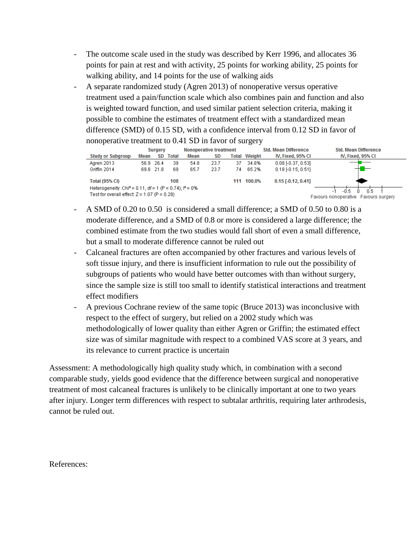- The outcome scale used in the study was described by Kerr 1996, and allocates 36 points for pain at rest and with activity, 25 points for working ability, 25 points for walking ability, and 14 points for the use of walking aids
- A separate randomized study (Agren 2013) of nonoperative versus operative treatment used a pain/function scale which also combines pain and function and also is weighted toward function, and used similar patient selection criteria, making it possible to combine the estimates of treatment effect with a standardized mean difference (SMD) of 0.15 SD, with a confidence interval from 0.12 SD in favor of nonoperative treatment to 0.41 SD in favor of surgery

|                                                                      | Surgery |           |              | <b>Nonoperative treatment</b> |           |    | <b>Std. Mean Difference</b> |                      | <b>Std. Mean Difference</b>          |
|----------------------------------------------------------------------|---------|-----------|--------------|-------------------------------|-----------|----|-----------------------------|----------------------|--------------------------------------|
| <b>Study or Subgroup</b>                                             | Mean    | SD        | <b>Total</b> | Mean                          | <b>SD</b> |    | <b>Total Weight</b>         | IV, Fixed, 95% CI    | IV, Fixed, 95% CI                    |
| Agren 2013                                                           |         | 56.9 26.4 | 39           | 54.8                          | 23.7      | 37 | 34.8%                       | $0.08$ F0.37, 0.531  |                                      |
| Griffin 2014                                                         |         | 69.8 21.8 | 69           | 65.7                          | 23.7      | 74 | 65.2%                       | 0.18F10.15, 0.511    |                                      |
| <b>Total (95% CI)</b>                                                |         |           | 108          |                               |           |    | 111 100.0%                  | $0.15$ [-0.12, 0.41] |                                      |
| Heterogeneity: Chi <sup>2</sup> = 0.11, df = 1 (P = 0.74); $P = 0\%$ |         |           |              |                               |           |    |                             |                      | 0.5<br>-0.5                          |
| Test for overall effect: $Z = 1.07$ (P = 0.28)                       |         |           |              |                               |           |    |                             |                      | Favours nonoperative Favours surgery |

- A SMD of 0.20 to 0.50 is considered a small difference; a SMD of 0.50 to 0.80 is a moderate difference, and a SMD of 0.8 or more is considered a large difference; the combined estimate from the two studies would fall short of even a small difference, but a small to moderate difference cannot be ruled out
- Calcaneal fractures are often accompanied by other fractures and various levels of soft tissue injury, and there is insufficient information to rule out the possibility of subgroups of patients who would have better outcomes with than without surgery, since the sample size is still too small to identify statistical interactions and treatment effect modifiers
- A previous Cochrane review of the same topic (Bruce 2013) was inconclusive with respect to the effect of surgery, but relied on a 2002 study which was methodologically of lower quality than either Agren or Griffin; the estimated effect size was of similar magnitude with respect to a combined VAS score at 3 years, and its relevance to current practice is uncertain

Assessment: A methodologically high quality study which, in combination with a second comparable study, yields good evidence that the difference between surgical and nonoperative treatment of most calcaneal fractures is unlikely to be clinically important at one to two years after injury. Longer term differences with respect to subtalar arthritis, requiring later arthrodesis, cannot be ruled out.

References: